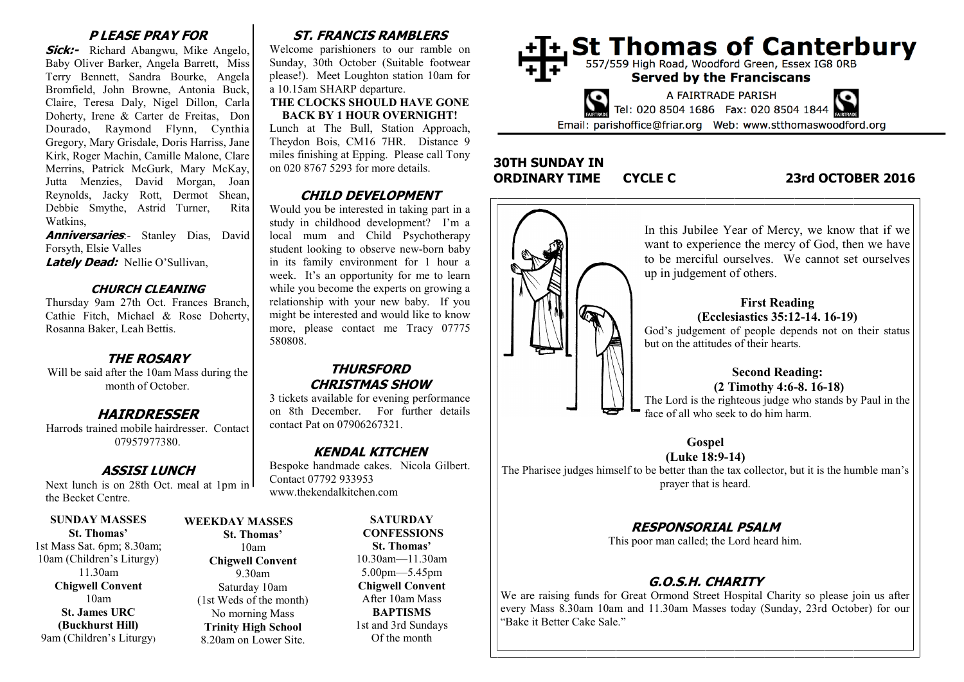## **P LEASE PRAY FOR**

**Sick:-** Richard Abangwu, Mike Angelo, Baby Oliver Barker, Angela Barrett, Miss Terry Bennett, Sandra Bourke, Angela Bromfield, John Browne, Antonia Buck, Claire, Teresa Daly, Nigel Dillon, Carla Doherty, Irene & Carter de Freitas, Don Dourado, Raymond Flynn, Cynthia Gregory, Mary Grisdale, Doris Harriss, Jane Kirk, Roger Machin, Camille Malone, Clare Merrins, Patrick McGurk, Mary McKay, Jutta Menzies, David Morgan, Joan Reynolds, Jacky Rott, Dermot Shean, Debbie Smythe, Astrid Turner, Rita Watkins,

**Anniversaries**: Stanley Dias, David Forsyth, Elsie Valles

**Lately Dead:** Nellie O'Sullivan,

#### **CHURCH CLEANING**

Thursday 9am 27th Oct. Frances Branch, Cathie Fitch, Michael & Rose Doherty, Rosanna Baker, Leah Bettis.

### **THE ROSARY**

Will be said after the 10am Mass during the month of October.

# **HAIRDRESSER**

Harrods trained mobile hairdresser. Contact 07957977380.

## **ASSISI LUNCH**

Next lunch is on 28th Oct. meal at 1pm in the Becket Centre.

**SUNDAY MASSES St. Thomas'** 1st Mass Sat. 6pm; 8.30am; 10am (Children's Liturgy) 11.30am **Chigwell Convent** 10am **St. James URC (Buckhurst Hill)** 9am (Children's Liturgy)

# **WEEKDAY MASSES St. Thomas'** 10am **Chigwell Convent**

9.30am Saturday 10am (1st Weds of the month) No morning Mass **Trinity High School** 8.20am on Lower Site.

# **ST. FRANCIS RAMBLERS**

Welcome parishioners to our ramble on Sunday, 30th October (Suitable footwear please!). Meet Loughton station 10am for a 10.15am SHARP departure.

#### **THE CLOCKS SHOULD HAVE GONE BACK BY 1 HOUR OVERNIGHT!**

Lunch at The Bull, Station Approach, Theydon Bois, CM16 7HR. Distance 9 miles finishing at Epping. Please call Tony on 020 8767 5293 for more details.

# **CHILD DEVELOPMENT**

Would you be interested in taking part in a study in childhood development? I'm a local mum and Child Psychotherapy student looking to observe new-born baby in its family environment for 1 hour a week. It's an opportunity for me to learn while you become the experts on growing a relationship with your new baby. If you might be interested and would like to know more, please contact me Tracy 07775 580808.

# **THURSFORD CHRISTMAS SHOW**

3 tickets available for evening performance on 8th December. For further details contact Pat on 07906267321.

## **KENDAL KITCHEN**

Bespoke handmade cakes. Nicola Gilbert. Contact 07792 933953 www.thekendalkitchen.com

> **SATURDAY CONFESSIONS St. Thomas'** 10.30am—11.30am 5.00pm—5.45pm **Chigwell Convent** After 10am Mass **BAPTISMS** 1st and 3rd Sundays Of the month



# **30TH SUNDAY IN ORDINARY TIME CYCLE C 23rd OCTOBER 2016**



#### We are raising funds for Great Ormond Street Hospital Charity so please join us after every Mass 8.30am 10am and 11.30am Masses today (Sunday, 23rd October) for our "Bake it Better Cake Sale."



The Pharisee judges himself to be better than the tax collector, but it is the humble man's